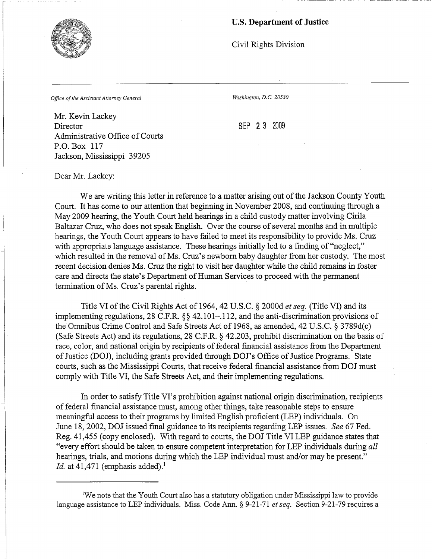## **U.S. Department of Justice**

Civil Rights Division

*Office of the Assistant Attorney General* Washington, D.C. 20530

Mr. Kevin Lackey Director SEP 2 3 2009 Administrative Office of Courts P.O. Box 117 Jackson, Mississippi 39205

Dear Mr. Lackey:

We are writing this letter in reference to a matter arising out of the Jackson County Youth Court. It has come to our attention that beginning in November 2008, and continuing through a May 2009 hearing, the Youth Court held hearings in a child custody matter involving Cirila Baltazar Cruz, who does not speak English. Over the course of several months and in multiple hearings, the Youth Court appears to have failed to meet its responsibility to provide Ms. Cruz with appropriate language assistance. These hearings initially led to a finding of "neglect," which resulted in the removal of Ms. Cruz's newborn baby daughter from her custody. The most recent decision denies Ms. Cruz the right to visit her daughter while the child remains in foster care and directs the state's Department of Human Services to proceed with the permanent termination of Ms. Cruz's parental rights.

Title VI of the Civil Rights Act of 1964, 42 U.S.C. § 2000d *et seq.* (Title VI) and its implementing regulations, 28 C.F.R. §§ 42.101–.112, and the anti-discrimination provisions of the Omnibus Crime Control and Safe Streets Act of 1968, as amended, 42 U.S.C. § 3789d(c) (Safe Streets Act) and its regulations, 28 C.F.R. § 42.203, prohibit discrimination on the basis of race, color, and national origin by recipients of federal financial assistance from the Department of Justice (DOJ), including grants provided through DOJ's Office of Justice Programs. State courts, such as the Mississippi Courts, that receive federal financial assistance from DOJ must comply with Title VI, the Safe Streets Act, and their implementing regulations.

In order to satisfy Title VI's prohibition against national origin discrimination, recipients offederal financial assistance must, among other things, take reasonable *steps* to ensure meaningful access to their programs by limited English proficient (LEP) individuals. On June 18, 2002, DOJ issued final guidance to its recipients regarding LEP issues. *See* 67 Fed. Reg. 41,455 (copy enclosed). With regard to courts, the DOJ Title VI LEP guidance states that "every effort should be taken to ensure competent interpretation for LEP individuals during *all*  hearings, trials, and motions during which the LEP individual must and/or may be present." *Id.* at 41,471 (emphasis added).<sup>1</sup>



<sup>1</sup> We note that the Youth Court also has a statutory obligation under Mississippi law to provide language assistance to LEP individuals. Miss. Code Ann. § 9-21-71 *et seq.* Section 9-21-79 requires a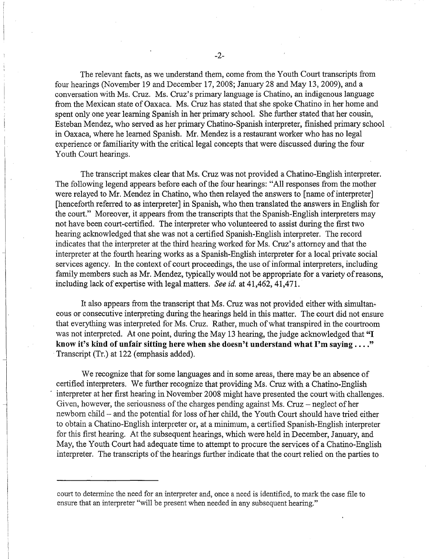The relevant facts, as we understand them, come from the Youth Court transcripts from four hearings (November 19 and December 17, 2008; January 28 and May 13, 2009), and a conversation with Ms. Cruz. Ms. Cruz's primary language is Chatino, an indigenous language from the Mexican state of Oaxaca. Ms. Cruz has stated that she spoke Chatino in her home and spent only one year learning Spanish in her primary school. She further stated that her cousin, Esteban Mendez, who served as her primary Chatino-Spanish interpreter, finished primary school in Oaxaca, where he learned Spanish. Mr. Mendez is a restaurant worker who has no legal experience or familiarity with the critical legal concepts that were discussed during the four Youth Court hearings.

The transcript makes clear that Ms. Cruz was not provided a Chatino-English interpreter. The following legend appears before each of the four hearings: "All responses from the mother were relayed to Mr. Mendez in Chatino, who then relayed the answers to [name of interpreter] [henceforth referred to as interpreter] in Spanish, who then translated the answers in English for the court." Moreover, it appears from the transcripts that the Spanish-English interpreters may not have been court-certified. The interpreter who volunteered to assist during the first two hearing acknowledged that she was not a certified Spanish-English interpreter. The record indicates that the interpreter at the third hearing worked for Ms. Cruz's attorney and that the interpreter at the fourth hearing works as a Spanish-English interpreter for a local private social services agency. In the context of court proceedings, the use of informal interpreters, including family members such as Mr. Mendez, typically would not be appropriate for a variety of reasons, including lack of expertise with legal matters. *See id.* at 41,462, 41,471.

It also appears from the transcript that Ms. Cruz was not provided either with simultaneous or consecutive interpreting during the hearings held in this matter. The court did not ensure that everything was interpreted for Ms. Cruz. Rather, much of what transpired in the courtroom was not interpreted. At one point, during the May 13 hearing, the judge acknowledged that **"I know it's kind of unfair sitting here when she doesn't understand what I'm saying ...."**  Transcript (Tr.) at 122 (emphasis added).

We recognize that for some languages and in some areas, there may be an absence of certified interpreters. We further recognize that providing Ms. Cruz with a Chatino-English interpreter at her first hearing in November 2008 might have presented the court with challenges. Given, however, the seriousness of the charges pending against Ms. Cruz  $-$  neglect of her newborn child - and the potential for loss of her child, the Youth Court should have tried either to obtain a Chatino-English interpreter or, at a minimum, a certified Spanish-English interpreter for this first hearing. At the subsequent hearings, which were held in December, January, and May, the Youth Court had adequate time to attempt to procure the services of a Chatino-English interpreter. The transcripts of the hearings further indicate that the court relied on the parties to

court to determine the need for an interpreter and, once a need is identified, to mark the case file to ensure that an interpreter "will be present when needed in any subsequent hearing."